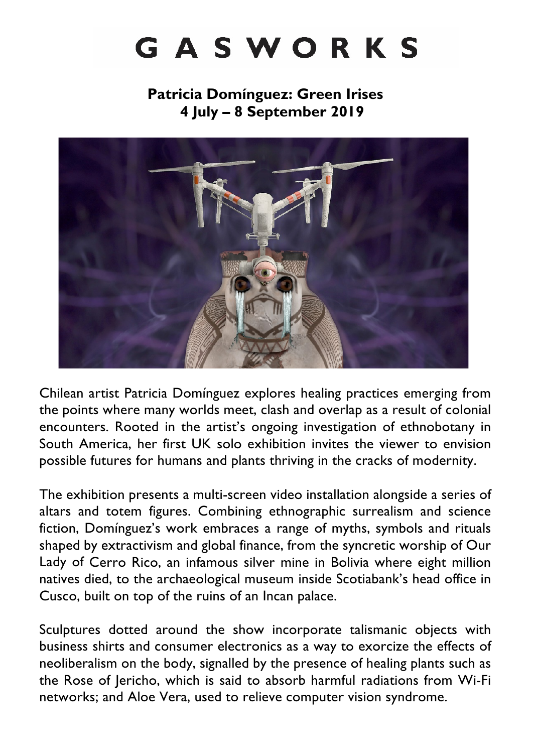# GASWORKS

**Patricia Domínguez: Green Irises 4 July – 8 September 2019**



Chilean artist Patricia Domínguez explores healing practices emerging from the points where many worlds meet, clash and overlap as a result of colonial encounters. Rooted in the artist's ongoing investigation of ethnobotany in South America, her first UK solo exhibition invites the viewer to envision possible futures for humans and plants thriving in the cracks of modernity.

The exhibition presents a multi-screen video installation alongside a series of altars and totem figures. Combining ethnographic surrealism and science fiction, Domínguez's work embraces a range of myths, symbols and rituals shaped by extractivism and global finance, from the syncretic worship of Our Lady of Cerro Rico, an infamous silver mine in Bolivia where eight million natives died, to the archaeological museum inside Scotiabank's head office in Cusco, built on top of the ruins of an Incan palace.

Sculptures dotted around the show incorporate talismanic objects with business shirts and consumer electronics as a way to exorcize the effects of neoliberalism on the body, signalled by the presence of healing plants such as the Rose of Jericho, which is said to absorb harmful radiations from Wi-Fi networks; and Aloe Vera, used to relieve computer vision syndrome.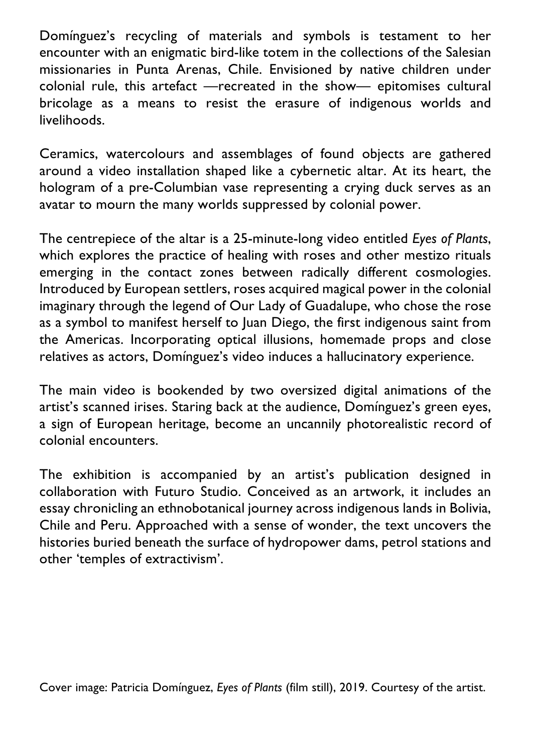Domínguez's recycling of materials and symbols is testament to her encounter with an enigmatic bird-like totem in the collections of the Salesian missionaries in Punta Arenas, Chile. Envisioned by native children under colonial rule, this artefact —recreated in the show— epitomises cultural bricolage as a means to resist the erasure of indigenous worlds and livelihoods.

Ceramics, watercolours and assemblages of found objects are gathered around a video installation shaped like a cybernetic altar. At its heart, the hologram of a pre-Columbian vase representing a crying duck serves as an avatar to mourn the many worlds suppressed by colonial power.

The centrepiece of the altar is a 25-minute-long video entitled *Eyes of Plants*, which explores the practice of healing with roses and other mestizo rituals emerging in the contact zones between radically different cosmologies. Introduced by European settlers, roses acquired magical power in the colonial imaginary through the legend of Our Lady of Guadalupe, who chose the rose as a symbol to manifest herself to Juan Diego, the first indigenous saint from the Americas. Incorporating optical illusions, homemade props and close relatives as actors, Domínguez's video induces a hallucinatory experience.

The main video is bookended by two oversized digital animations of the artist's scanned irises. Staring back at the audience, Domínguez's green eyes, a sign of European heritage, become an uncannily photorealistic record of colonial encounters.

The exhibition is accompanied by an artist's publication designed in collaboration with Futuro Studio. Conceived as an artwork, it includes an essay chronicling an ethnobotanical journey across indigenous lands in Bolivia, Chile and Peru. Approached with a sense of wonder, the text uncovers the histories buried beneath the surface of hydropower dams, petrol stations and other 'temples of extractivism'.

Cover image: Patricia Domínguez, *Eyes of Plants* (film still), 2019. Courtesy of the artist.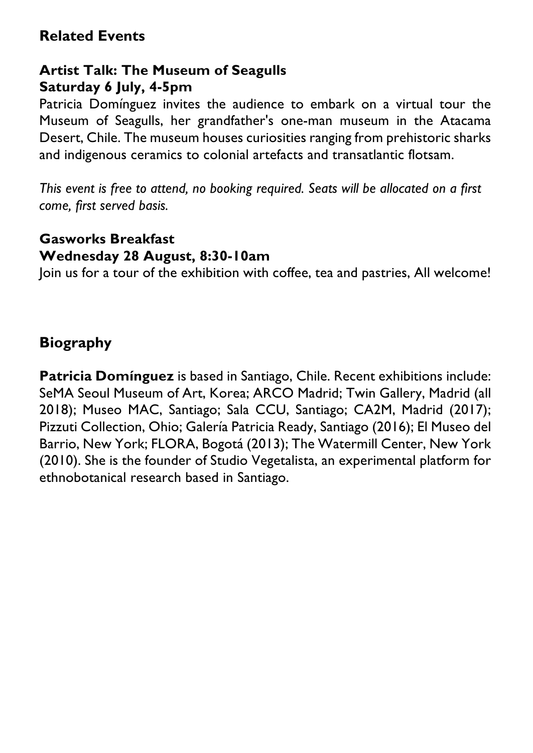## **Related Events**

### **Artist Talk: The Museum of Seagulls Saturday 6 July, 4-5pm**

Patricia Domínguez invites the audience to embark on a virtual tour the Museum of Seagulls, her grandfather's one-man museum in the Atacama Desert, Chile. The museum houses curiosities ranging from prehistoric sharks and indigenous ceramics to colonial artefacts and transatlantic flotsam.

*This event is free to attend, no booking required. Seats will be allocated on a first come, first served basis.*

#### **Gasworks Breakfast**

#### **Wednesday 28 August, 8:30-10am**

Join us for a tour of the exhibition with coffee, tea and pastries, All welcome!

## **Biography**

**Patricia Domínguez** is based in Santiago, Chile. Recent exhibitions include: SeMA Seoul Museum of Art, Korea; ARCO Madrid; Twin Gallery, Madrid (all 2018); Museo MAC, Santiago; Sala CCU, Santiago; CA2M, Madrid (2017); Pizzuti Collection, Ohio; Galería Patricia Ready, Santiago (2016); El Museo del Barrio, New York; FLORA, Bogotá (2013); The Watermill Center, New York (2010). She is the founder of Studio Vegetalista, an experimental platform for ethnobotanical research based in Santiago.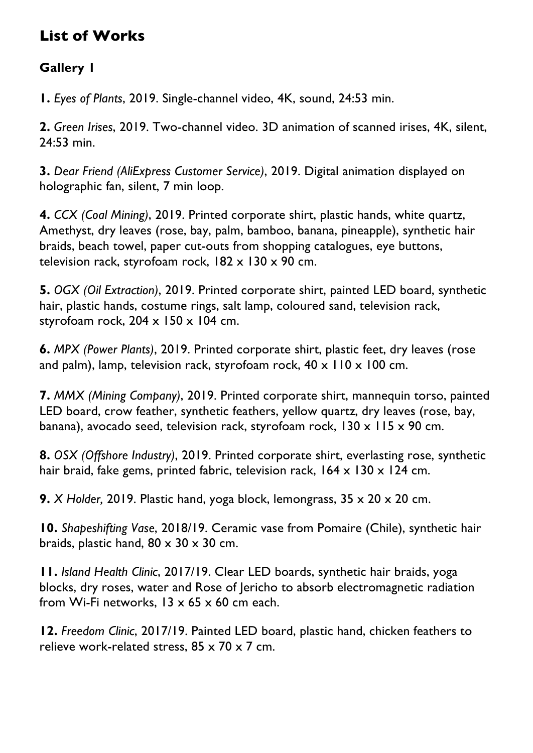## **List of Works**

### **Gallery 1**

**1.** *Eyes of Plants*, 2019. Single-channel video, 4K, sound, 24:53 min.

**2.** *Green Irises*, 2019. Two-channel video. 3D animation of scanned irises, 4K, silent, 24:53 min.

**3.** *Dear Friend (AliExpress Customer Service)*, 2019. Digital animation displayed on holographic fan, silent, 7 min loop.

**4.** *CCX (Coal Mining)*, 2019. Printed corporate shirt, plastic hands, white quartz, Amethyst, dry leaves (rose, bay, palm, bamboo, banana, pineapple), synthetic hair braids, beach towel, paper cut-outs from shopping catalogues, eye buttons, television rack, styrofoam rock,  $182 \times 130 \times 90$  cm.

**5.** *OGX (Oil Extraction)*, 2019. Printed corporate shirt, painted LED board, synthetic hair, plastic hands, costume rings, salt lamp, coloured sand, television rack, styrofoam rock,  $204 \times 150 \times 104$  cm.

**6.** *MPX (Power Plants)*, 2019. Printed corporate shirt, plastic feet, dry leaves (rose and palm), lamp, television rack, styrofoam rock,  $40 \times 110 \times 100$  cm.

**7.** *MMX (Mining Company)*, 2019. Printed corporate shirt, mannequin torso, painted LED board, crow feather, synthetic feathers, yellow quartz, dry leaves (rose, bay, banana), avocado seed, television rack, styrofoam rock, 130 x 115 x 90 cm.

**8.** *OSX (Offshore Industry)*, 2019. Printed corporate shirt, everlasting rose, synthetic hair braid, fake gems, printed fabric, television rack,  $164 \times 130 \times 124$  cm.

**9.** *X Holder,* 2019. Plastic hand, yoga block, lemongrass, 35 x 20 x 20 cm.

**10.** *Shapeshifting Vase*, 2018/19. Ceramic vase from Pomaire (Chile), synthetic hair braids, plastic hand,  $80 \times 30 \times 30$  cm.

**11.** *Island Health Clinic*, 2017/19. Clear LED boards, synthetic hair braids, yoga blocks, dry roses, water and Rose of Jericho to absorb electromagnetic radiation from Wi-Fi networks,  $13 \times 65 \times 60$  cm each.

**12.** *Freedom Clinic*, 2017/19. Painted LED board, plastic hand, chicken feathers to relieve work-related stress, 85 x 70 x 7 cm.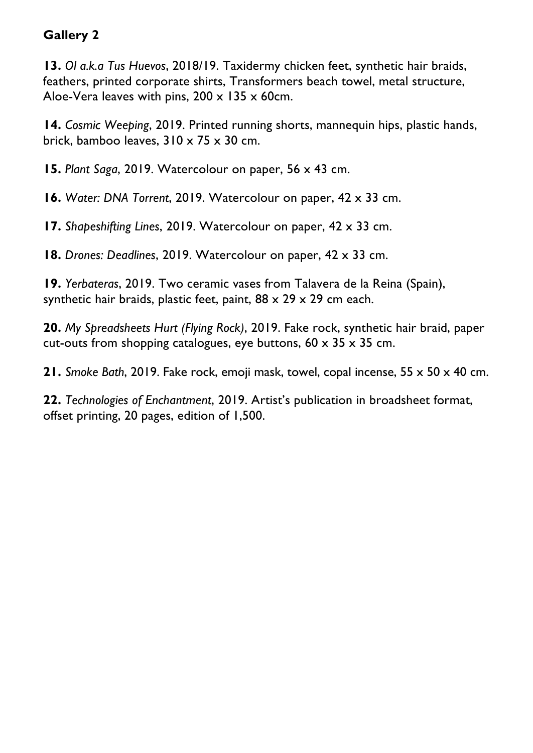#### **Gallery 2**

**13.** *Ol a.k.a Tus Huevos*, 2018/19. Taxidermy chicken feet, synthetic hair braids, feathers, printed corporate shirts, Transformers beach towel, metal structure, Aloe-Vera leaves with pins,  $200 \times 135 \times 60$ cm.

**14.** *Cosmic Weeping*, 2019. Printed running shorts, mannequin hips, plastic hands, brick, bamboo leaves,  $310 \times 75 \times 30$  cm.

**15.** *Plant Saga*, 2019. Watercolour on paper, 56 x 43 cm.

**16.** *Water: DNA Torrent*, 2019. Watercolour on paper, 42 x 33 cm.

**17.** *Shapeshifting Lines*, 2019. Watercolour on paper, 42 x 33 cm.

**18.** *Drones: Deadlines*, 2019. Watercolour on paper, 42 x 33 cm.

**19.** *Yerbateras*, 2019. Two ceramic vases from Talavera de la Reina (Spain), synthetic hair braids, plastic feet, paint,  $88 \times 29 \times 29$  cm each.

**20.** *My Spreadsheets Hurt (Flying Rock)*, 2019. Fake rock, synthetic hair braid, paper cut-outs from shopping catalogues, eye buttons,  $60 \times 35 \times 35$  cm.

**21.** *Smoke Bath*, 2019. Fake rock, emoji mask, towel, copal incense, 55 x 50 x 40 cm.

**22.** *Technologies of Enchantment*, 2019. Artist's publication in broadsheet format, offset printing, 20 pages, edition of 1,500.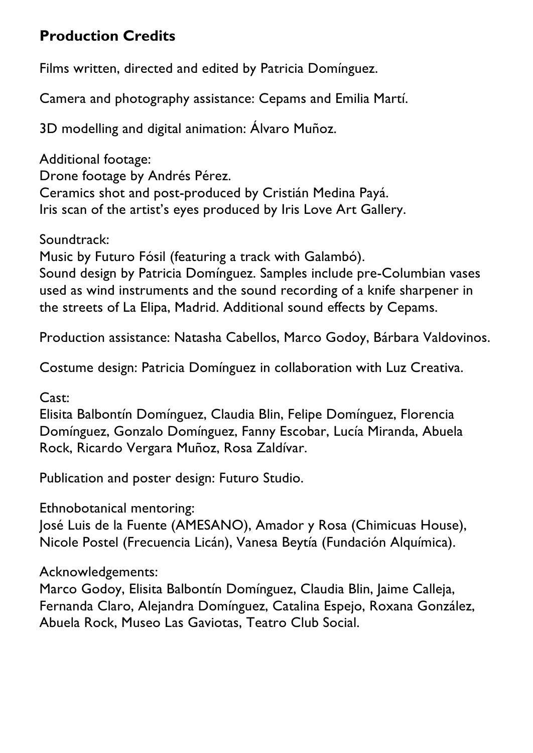## **Production Credits**

Films written, directed and edited by Patricia Domínguez.

Camera and photography assistance: Cepams and Emilia Martí.

3D modelling and digital animation: Álvaro Muñoz.

Additional footage: Drone footage by Andrés Pérez. Ceramics shot and post-produced by Cristián Medina Payá. Iris scan of the artist's eyes produced by Iris Love Art Gallery.

Soundtrack:

Music by Futuro Fósil (featuring a track with Galambó). Sound design by Patricia Domínguez. Samples include pre-Columbian vases used as wind instruments and the sound recording of a knife sharpener in the streets of La Elipa, Madrid. Additional sound effects by Cepams.

Production assistance: Natasha Cabellos, Marco Godoy, Bárbara Valdovinos.

Costume design: Patricia Domínguez in collaboration with Luz Creativa.

Cast:

Elisita Balbontín Domínguez, Claudia Blin, Felipe Domínguez, Florencia Domínguez, Gonzalo Domínguez, Fanny Escobar, Lucía Miranda, Abuela Rock, Ricardo Vergara Muñoz, Rosa Zaldívar.

Publication and poster design: Futuro Studio.

Ethnobotanical mentoring:

José Luis de la Fuente (AMESANO), Amador y Rosa (Chimicuas House), Nicole Postel (Frecuencia Licán), Vanesa Beytía (Fundación Alquímica).

Acknowledgements:

Marco Godoy, Elisita Balbontín Domínguez, Claudia Blin, Jaime Calleja, Fernanda Claro, Alejandra Domínguez, Catalina Espejo, Roxana González, Abuela Rock, Museo Las Gaviotas, Teatro Club Social.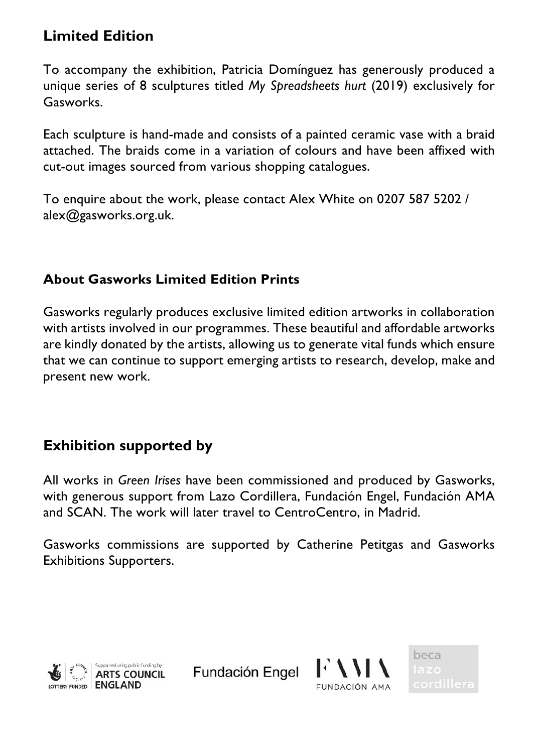## **Limited Edition**

To accompany the exhibition, Patricia Domínguez has generously produced a unique series of 8 sculptures titled *My Spreadsheets hurt* (2019) exclusively for Gasworks.

Each sculpture is hand-made and consists of a painted ceramic vase with a braid attached. The braids come in a variation of colours and have been affixed with cut-out images sourced from various shopping catalogues.

To enquire about the work, please contact Alex White on 0207 587 5202 / alex@gasworks.org.uk.

## **About Gasworks Limited Edition Prints**

Gasworks regularly produces exclusive limited edition artworks in collaboration with artists involved in our programmes. These beautiful and affordable artworks are kindly donated by the artists, allowing us to generate vital funds which ensure that we can continue to support emerging artists to research, develop, make and present new work.

## **Exhibition supported by**

All works in *Green Irises* have been commissioned and produced by Gasworks, with generous support from Lazo Cordillera, Fundación Engel, Fundación AMA and SCAN. The work will later travel to CentroCentro, in Madrid.

Gasworks commissions are supported by Catherine Petitgas and Gasworks Exhibitions Supporters.



Fundación Engel